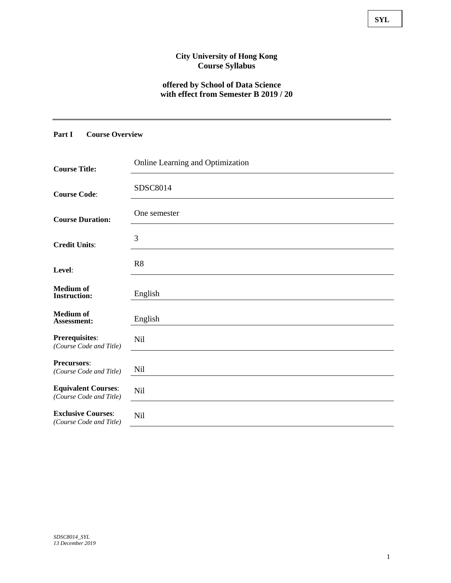### **City University of Hong Kong Course Syllabus**

### **offered by School of Data Science with effect from Semester B 2019 / 20**

# **Part I Course Overview**

| <b>Course Title:</b>                                  | Online Learning and Optimization |
|-------------------------------------------------------|----------------------------------|
| <b>Course Code:</b>                                   | SDSC8014                         |
| <b>Course Duration:</b>                               | One semester                     |
| <b>Credit Units:</b>                                  | 3                                |
| Level:                                                | R <sub>8</sub>                   |
| <b>Medium</b> of<br><b>Instruction:</b>               | English                          |
| <b>Medium</b> of<br>Assessment:                       | English                          |
| Prerequisites:<br>(Course Code and Title)             | Nil                              |
| <b>Precursors:</b><br>(Course Code and Title)         | Nil                              |
| <b>Equivalent Courses:</b><br>(Course Code and Title) | Nil                              |
| <b>Exclusive Courses:</b><br>(Course Code and Title)  | Nil                              |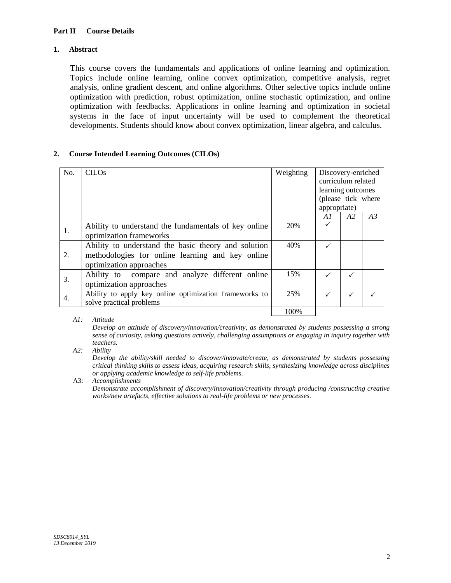### **1. Abstract**

This course covers the fundamentals and applications of online learning and optimization. Topics include online learning, online convex optimization, competitive analysis, regret analysis, online gradient descent, and online algorithms. Other selective topics include online optimization with prediction, robust optimization, online stochastic optimization, and online optimization with feedbacks. Applications in online learning and optimization in societal systems in the face of input uncertainty will be used to complement the theoretical developments. Students should know about convex optimization, linear algebra, and calculus.

### **2. Course Intended Learning Outcomes (CILOs)**

| No. | <b>CILOs</b>                                                                                                                       | Weighting | appropriate) | Discovery-enriched<br>curriculum related<br>learning outcomes<br>(please tick where |    |
|-----|------------------------------------------------------------------------------------------------------------------------------------|-----------|--------------|-------------------------------------------------------------------------------------|----|
|     |                                                                                                                                    |           | A1           | A2                                                                                  | A3 |
| 1.  | Ability to understand the fundamentals of key online<br>optimization frameworks                                                    | 20%       |              |                                                                                     |    |
| 2.  | Ability to understand the basic theory and solution<br>methodologies for online learning and key online<br>optimization approaches | 40%       |              |                                                                                     |    |
| 3.  | Ability to compare and analyze different online<br>optimization approaches                                                         | 15%       |              |                                                                                     |    |
| 4.  | Ability to apply key online optimization frameworks to<br>solve practical problems                                                 | 25%       |              |                                                                                     |    |
|     |                                                                                                                                    | 100%      |              |                                                                                     |    |

*A1: Attitude* 

*Develop an attitude of discovery/innovation/creativity, as demonstrated by students possessing a strong sense of curiosity, asking questions actively, challenging assumptions or engaging in inquiry together with teachers.* 

*A2: Ability* 

*Develop the ability/skill needed to discover/innovate/create, as demonstrated by students possessing critical thinking skills to assess ideas, acquiring research skills, synthesizing knowledge across disciplines or applying academic knowledge to self-life problems.* 

A3: *Accomplishments* 

*Demonstrate accomplishment of discovery/innovation/creativity through producing /constructing creative works/new artefacts, effective solutions to real-life problems or new processes.*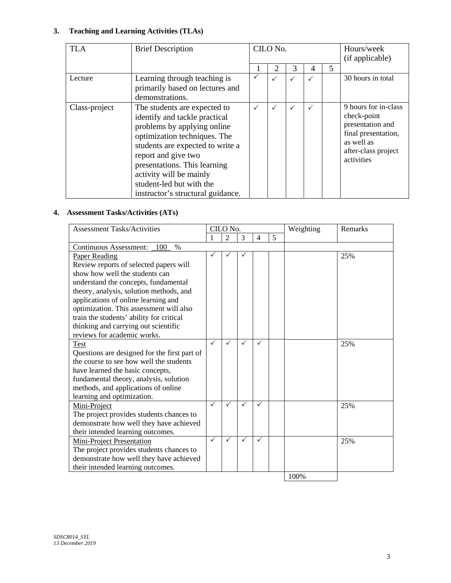# **3. Teaching and Learning Activities (TLAs)**

| <b>TLA</b>    | <b>Brief Description</b>                                                                                                                                                                                                                                                                                            |              | CILO No.     |              |              | Hours/week<br>(if applicable) |                                                                                                                                   |
|---------------|---------------------------------------------------------------------------------------------------------------------------------------------------------------------------------------------------------------------------------------------------------------------------------------------------------------------|--------------|--------------|--------------|--------------|-------------------------------|-----------------------------------------------------------------------------------------------------------------------------------|
|               |                                                                                                                                                                                                                                                                                                                     |              | 2            | 3            | 4            | 5                             |                                                                                                                                   |
| Lecture       | Learning through teaching is<br>primarily based on lectures and<br>demonstrations.                                                                                                                                                                                                                                  |              | $\checkmark$ | $\checkmark$ | $\checkmark$ |                               | 30 hours in total                                                                                                                 |
| Class-project | The students are expected to<br>identify and tackle practical<br>problems by applying online<br>optimization techniques. The<br>students are expected to write a<br>report and give two<br>presentations. This learning<br>activity will be mainly<br>student-led but with the<br>instructor's structural guidance. | $\checkmark$ | $\checkmark$ | $\checkmark$ | $\checkmark$ |                               | 9 hours for in-class<br>check-point<br>presentation and<br>final presentation,<br>as well as<br>after-class project<br>activities |

# **4. Assessment Tasks/Activities (ATs)**

| <b>Assessment Tasks/Activities</b>           | CILO No.     |                |              |              | Weighting | Remarks |     |
|----------------------------------------------|--------------|----------------|--------------|--------------|-----------|---------|-----|
|                                              |              | $\overline{2}$ | 3            | 4            | 5         |         |     |
| $\%$<br><b>Continuous Assessment:</b><br>100 |              |                |              |              |           |         |     |
| <b>Paper Reading</b>                         |              |                |              |              |           |         | 25% |
| Review reports of selected papers will       |              |                |              |              |           |         |     |
| show how well the students can               |              |                |              |              |           |         |     |
| understand the concepts, fundamental         |              |                |              |              |           |         |     |
| theory, analysis, solution methods, and      |              |                |              |              |           |         |     |
| applications of online learning and          |              |                |              |              |           |         |     |
| optimization. This assessment will also      |              |                |              |              |           |         |     |
| train the students' ability for critical     |              |                |              |              |           |         |     |
| thinking and carrying out scientific         |              |                |              |              |           |         |     |
| reviews for academic works.                  |              |                |              |              |           |         |     |
| <b>Test</b>                                  | $\checkmark$ | $\checkmark$   | $\checkmark$ | $\checkmark$ |           |         | 25% |
| Questions are designed for the first part of |              |                |              |              |           |         |     |
| the course to see how well the students      |              |                |              |              |           |         |     |
| have learned the basic concepts,             |              |                |              |              |           |         |     |
| fundamental theory, analysis, solution       |              |                |              |              |           |         |     |
| methods, and applications of online          |              |                |              |              |           |         |     |
| learning and optimization.                   |              |                |              |              |           |         |     |
| Mini-Project                                 | $\checkmark$ | $\checkmark$   | $\checkmark$ | $\checkmark$ |           |         | 25% |
| The project provides students chances to     |              |                |              |              |           |         |     |
| demonstrate how well they have achieved      |              |                |              |              |           |         |     |
| their intended learning outcomes.            |              |                |              |              |           |         |     |
| <b>Mini-Project Presentation</b>             | $\checkmark$ | ✓              | ✓            | ✓            |           |         | 25% |
| The project provides students chances to     |              |                |              |              |           |         |     |
| demonstrate how well they have achieved      |              |                |              |              |           |         |     |
| their intended learning outcomes.            |              |                |              |              |           |         |     |
|                                              |              |                |              |              |           | 100%    |     |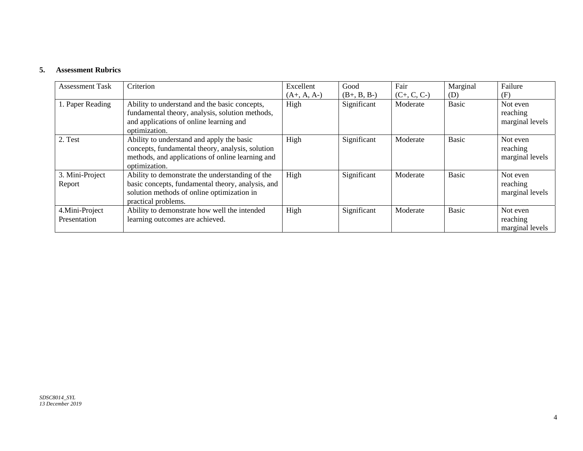#### **5. Assessment Rubrics**

| <b>Assessment Task</b>         | Criterion                                                                                                                                                                 | Excellent     | Good          | Fair          | Marginal     | Failure                                 |
|--------------------------------|---------------------------------------------------------------------------------------------------------------------------------------------------------------------------|---------------|---------------|---------------|--------------|-----------------------------------------|
|                                |                                                                                                                                                                           | $(A+, A, A-)$ | $(B+, B, B-)$ | $(C+, C, C-)$ | (D)          | (F)                                     |
| 1. Paper Reading               | Ability to understand and the basic concepts,<br>fundamental theory, analysis, solution methods,<br>and applications of online learning and<br>optimization.              | High          | Significant   | Moderate      | <b>Basic</b> | Not even<br>reaching<br>marginal levels |
| 2. Test                        | Ability to understand and apply the basic<br>concepts, fundamental theory, analysis, solution<br>methods, and applications of online learning and<br>optimization.        | High          | Significant   | Moderate      | <b>Basic</b> | Not even<br>reaching<br>marginal levels |
| 3. Mini-Project<br>Report      | Ability to demonstrate the understanding of the<br>basic concepts, fundamental theory, analysis, and<br>solution methods of online optimization in<br>practical problems. | High          | Significant   | Moderate      | <b>Basic</b> | Not even<br>reaching<br>marginal levels |
| 4.Mini-Project<br>Presentation | Ability to demonstrate how well the intended<br>learning outcomes are achieved.                                                                                           | High          | Significant   | Moderate      | <b>Basic</b> | Not even<br>reaching<br>marginal levels |